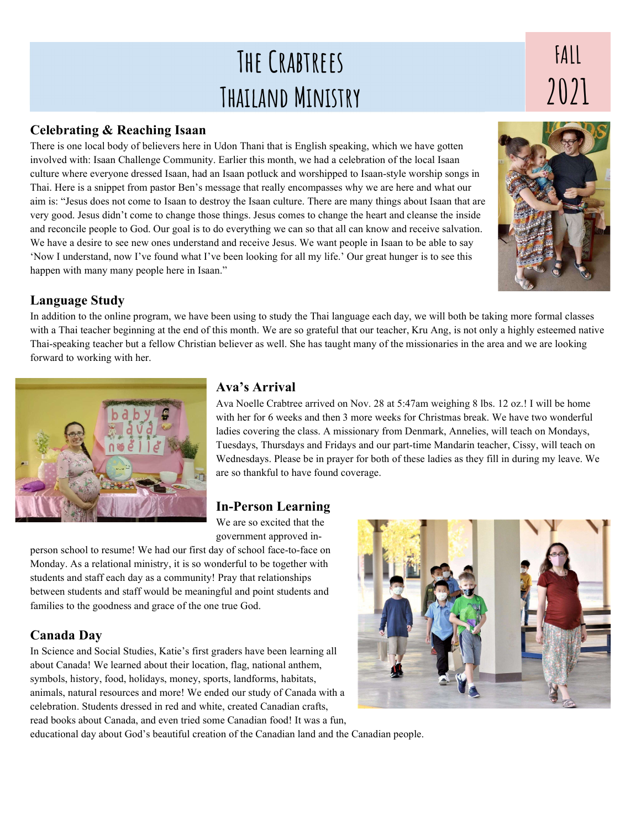# The Crabtrees Thailand Ministry

#### Celebrating & Reaching Isaan

There is one local body of believers here in Udon Thani that is English speaking, which we have gotten involved with: Isaan Challenge Community. Earlier this month, we had a celebration of the local Isaan culture where everyone dressed Isaan, had an Isaan potluck and worshipped to Isaan-style worship songs in Thai. Here is a snippet from pastor Ben's message that really encompasses why we are here and what our aim is: "Jesus does not come to Isaan to destroy the Isaan culture. There are many things about Isaan that are very good. Jesus didn't come to change those things. Jesus comes to change the heart and cleanse the inside and reconcile people to God. Our goal is to do everything we can so that all can know and receive salvation. We have a desire to see new ones understand and receive Jesus. We want people in Isaan to be able to say 'Now I understand, now I've found what I've been looking for all my life.' Our great hunger is to see this happen with many many people here in Isaan."

### Language Study

In addition to the online program, we have been using to study the Thai language each day, we will both be taking more formal classes with a Thai teacher beginning at the end of this month. We are so grateful that our teacher, Kru Ang, is not only a highly esteemed native Thai-speaking teacher but a fellow Christian believer as well. She has taught many of the missionaries in the area and we are looking forward to working with her.



## Ava's Arrival

Ava Noelle Crabtree arrived on Nov. 28 at 5:47am weighing 8 lbs. 12 oz.! I will be home with her for 6 weeks and then 3 more weeks for Christmas break. We have two wonderful ladies covering the class. A missionary from Denmark, Annelies, will teach on Mondays, Tuesdays, Thursdays and Fridays and our part-time Mandarin teacher, Cissy, will teach on Wednesdays. Please be in prayer for both of these ladies as they fill in during my leave. We are so thankful to have found coverage.

### In-Person Learning

We are so excited that the government approved in-

person school to resume! We had our first day of school face-to-face on Monday. As a relational ministry, it is so wonderful to be together with students and staff each day as a community! Pray that relationships between students and staff would be meaningful and point students and families to the goodness and grace of the one true God.

### Canada Day

In Science and Social Studies, Katie's first graders have been learning all about Canada! We learned about their location, flag, national anthem, symbols, history, food, holidays, money, sports, landforms, habitats, animals, natural resources and more! We ended our study of Canada with a celebration. Students dressed in red and white, created Canadian crafts, read books about Canada, and even tried some Canadian food! It was a fun,



educational day about God's beautiful creation of the Canadian land and the Canadian people.



# FALL  $2021$